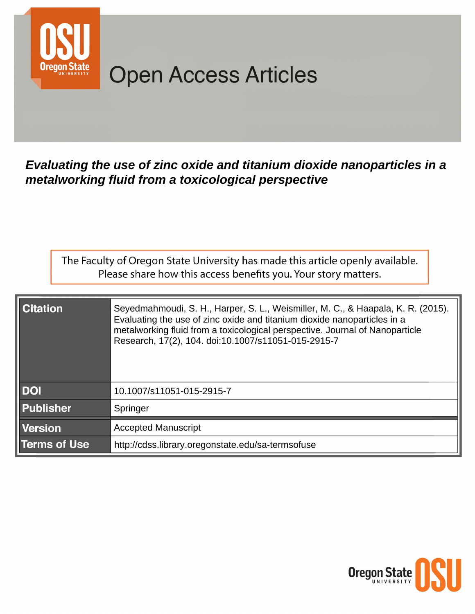

# **Open Access Articles**

Evaluating the use of zinc oxide and titanium dioxide nanoparticles in a metalworking fluid from a toxicological perspective

The Faculty of Oregon State University has made this article openly available. Please share how this access benefits you. Your story matters.

| <b>Citation</b>     | Seyedmahmoudi, S. H., Harper, S. L., Weismiller, M. C., & Haapala, K. R. (2015).<br>Evaluating the use of zinc oxide and titanium dioxide nanoparticles in a<br>metalworking fluid from a toxicological perspective. Journal of Nanoparticle<br>Research, 17(2), 104. doi:10.1007/s11051-015-2915-7 |
|---------------------|-----------------------------------------------------------------------------------------------------------------------------------------------------------------------------------------------------------------------------------------------------------------------------------------------------|
| <b>DOI</b>          | 10.1007/s11051-015-2915-7                                                                                                                                                                                                                                                                           |
| <b>Publisher</b>    | Springer                                                                                                                                                                                                                                                                                            |
| Version             | <b>Accepted Manuscript</b>                                                                                                                                                                                                                                                                          |
| <b>Terms of Use</b> | http://cdss.library.oregonstate.edu/sa-termsofuse                                                                                                                                                                                                                                                   |

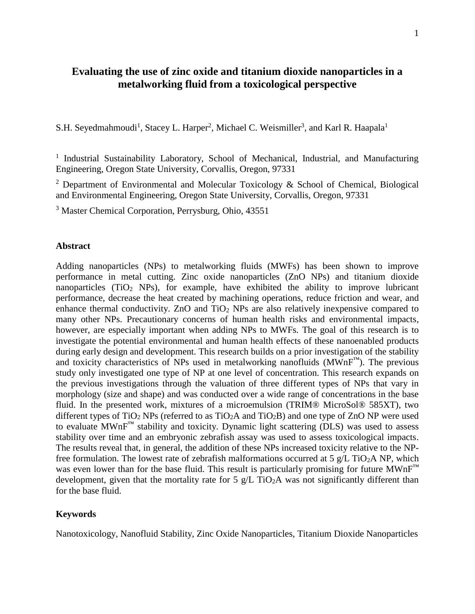## **Evaluating the use of zinc oxide and titanium dioxide nanoparticles in a metalworking fluid from a toxicological perspective**

S.H. Seyedmahmoudi<sup>1</sup>, Stacey L. Harper<sup>2</sup>, Michael C. Weismiller<sup>3</sup>, and Karl R. Haapala<sup>1</sup>

<sup>1</sup> Industrial Sustainability Laboratory, School of Mechanical, Industrial, and Manufacturing Engineering, Oregon State University, Corvallis, Oregon, 97331

<sup>2</sup> Department of Environmental and Molecular Toxicology  $\&$  School of Chemical, Biological and Environmental Engineering, Oregon State University, Corvallis, Oregon, 97331

<sup>3</sup> Master Chemical Corporation, Perrysburg, Ohio, 43551

#### **Abstract**

Adding nanoparticles (NPs) to metalworking fluids (MWFs) has been shown to improve performance in metal cutting. Zinc oxide nanoparticles (ZnO NPs) and titanium dioxide nanoparticles ( $TiO<sub>2</sub>$  NPs), for example, have exhibited the ability to improve lubricant performance, decrease the heat created by machining operations, reduce friction and wear, and enhance thermal conductivity. ZnO and TiO<sub>2</sub> NPs are also relatively inexpensive compared to many other NPs. Precautionary concerns of human health risks and environmental impacts, however, are especially important when adding NPs to MWFs. The goal of this research is to investigate the potential environmental and human health effects of these nanoenabled products during early design and development. This research builds on a prior investigation of the stability and toxicity characteristics of NPs used in metalworking nanofluids  $(MWnF<sup>TM</sup>)$ . The previous study only investigated one type of NP at one level of concentration. This research expands on the previous investigations through the valuation of three different types of NPs that vary in morphology (size and shape) and was conducted over a wide range of concentrations in the base fluid. In the presented work, mixtures of a microemulsion (TRIM® MicroSol® 585XT), two different types of TiO<sub>2</sub> NPs (referred to as TiO<sub>2</sub>A and TiO<sub>2</sub>B) and one type of ZnO NP were used to evaluate  $MWhF^M$  stability and toxicity. Dynamic light scattering (DLS) was used to assess stability over time and an embryonic zebrafish assay was used to assess toxicological impacts. The results reveal that, in general, the addition of these NPs increased toxicity relative to the NPfree formulation. The lowest rate of zebrafish malformations occurred at 5  $g/L$  TiO<sub>2</sub>A NP, which was even lower than for the base fluid. This result is particularly promising for future  $MWhF^M$ development, given that the mortality rate for 5  $g/L$  TiO<sub>2</sub>A was not significantly different than for the base fluid.

#### **Keywords**

Nanotoxicology, Nanofluid Stability, Zinc Oxide Nanoparticles, Titanium Dioxide Nanoparticles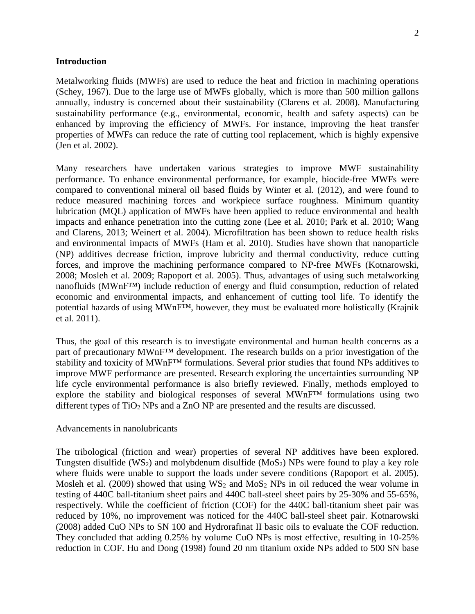#### **Introduction**

Metalworking fluids (MWFs) are used to reduce the heat and friction in machining operations (Schey, 1967). Due to the large use of MWFs globally, which is more than 500 million gallons annually, industry is concerned about their sustainability (Clarens et al. 2008). Manufacturing sustainability performance (e.g., environmental, economic, health and safety aspects) can be enhanced by improving the efficiency of MWFs. For instance, improving the heat transfer properties of MWFs can reduce the rate of cutting tool replacement, which is highly expensive (Jen et al. 2002).

Many researchers have undertaken various strategies to improve MWF sustainability performance. To enhance environmental performance, for example, biocide-free MWFs were compared to conventional mineral oil based fluids by Winter et al. (2012), and were found to reduce measured machining forces and workpiece surface roughness. Minimum quantity lubrication (MQL) application of MWFs have been applied to reduce environmental and health impacts and enhance penetration into the cutting zone (Lee et al. 2010; Park et al. 2010; Wang and Clarens, 2013; Weinert et al. 2004). Microfiltration has been shown to reduce health risks and environmental impacts of MWFs (Ham et al. 2010). Studies have shown that nanoparticle (NP) additives decrease friction, improve lubricity and thermal conductivity, reduce cutting forces, and improve the machining performance compared to NP-free MWFs (Kotnarowski, 2008; Mosleh et al. 2009; Rapoport et al. 2005). Thus, advantages of using such metalworking nanofluids (MWnF™) include reduction of energy and fluid consumption, reduction of related economic and environmental impacts, and enhancement of cutting tool life. To identify the potential hazards of using MWnF™, however, they must be evaluated more holistically (Krajnik et al. 2011).

Thus, the goal of this research is to investigate environmental and human health concerns as a part of precautionary MWnF<sup>™</sup> development. The research builds on a prior investigation of the stability and toxicity of MWnF™ formulations. Several prior studies that found NPs additives to improve MWF performance are presented. Research exploring the uncertainties surrounding NP life cycle environmental performance is also briefly reviewed. Finally, methods employed to explore the stability and biological responses of several MWnF™ formulations using two different types of TiO<sub>2</sub> NPs and a ZnO NP are presented and the results are discussed.

#### Advancements in nanolubricants

The tribological (friction and wear) properties of several NP additives have been explored. Tungsten disulfide (WS<sub>2</sub>) and molybdenum disulfide (MoS<sub>2</sub>) NPs were found to play a key role where fluids were unable to support the loads under severe conditions (Rapoport et al. 2005). Mosleh et al. (2009) showed that using  $WS_2$  and  $MoS_2$  NPs in oil reduced the wear volume in testing of 440C ball-titanium sheet pairs and 440C ball-steel sheet pairs by 25-30% and 55-65%, respectively. While the coefficient of friction (COF) for the 440C ball-titanium sheet pair was reduced by 10%, no improvement was noticed for the 440C ball-steel sheet pair. Kotnarowski (2008) added CuO NPs to SN 100 and Hydrorafinat II basic oils to evaluate the COF reduction. They concluded that adding 0.25% by volume CuO NPs is most effective, resulting in 10-25% reduction in COF. Hu and Dong (1998) found 20 nm titanium oxide NPs added to 500 SN base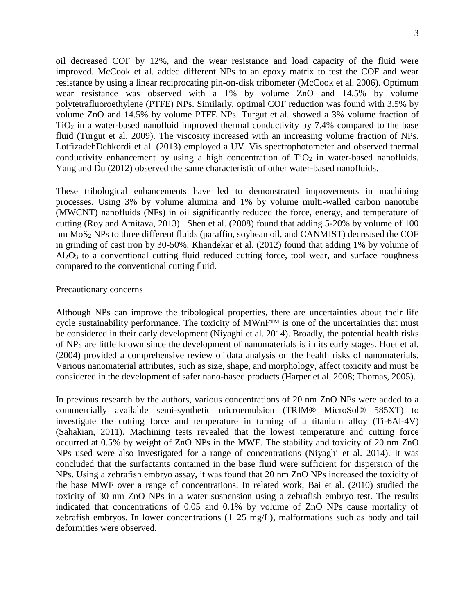oil decreased COF by 12%, and the wear resistance and load capacity of the fluid were improved. McCook et al. added different NPs to an epoxy matrix to test the COF and wear resistance by using a linear reciprocating pin-on-disk tribometer (McCook et al. 2006). Optimum wear resistance was observed with a 1% by volume ZnO and 14.5% by volume polytetrafluoroethylene (PTFE) NPs. Similarly, optimal COF reduction was found with 3.5% by volume ZnO and 14.5% by volume PTFE NPs. Turgut et al. showed a 3% volume fraction of  $TiO<sub>2</sub>$  in a water-based nanofluid improved thermal conductivity by 7.4% compared to the base fluid (Turgut et al. 2009). The viscosity increased with an increasing volume fraction of NPs. LotfizadehDehkordi et al. (2013) employed a UV–Vis spectrophotometer and observed thermal conductivity enhancement by using a high concentration of  $TiO<sub>2</sub>$  in water-based nanofluids. Yang and Du (2012) observed the same characteristic of other water-based nanofluids.

These tribological enhancements have led to demonstrated improvements in machining processes. Using 3% by volume alumina and 1% by volume multi-walled carbon nanotube (MWCNT) nanofluids (NFs) in oil significantly reduced the force, energy, and temperature of cutting (Roy and Amitava, 2013). Shen et al. (2008) found that adding 5-20% by volume of 100 nm MoS<sub>2</sub> NPs to three different fluids (paraffin, soybean oil, and CANMIST) decreased the COF in grinding of cast iron by 30-50%. Khandekar et al. (2012) found that adding 1% by volume of  $Al_2O_3$  to a conventional cutting fluid reduced cutting force, tool wear, and surface roughness compared to the conventional cutting fluid.

## Precautionary concerns

Although NPs can improve the tribological properties, there are uncertainties about their life cycle sustainability performance. The toxicity of MWnF™ is one of the uncertainties that must be considered in their early development (Niyaghi et al. 2014). Broadly, the potential health risks of NPs are little known since the development of nanomaterials is in its early stages. Hoet et al. (2004) provided a comprehensive review of data analysis on the health risks of nanomaterials. Various nanomaterial attributes, such as size, shape, and morphology, affect toxicity and must be considered in the development of safer nano-based products (Harper et al. 2008; Thomas, 2005).

In previous research by the authors, various concentrations of 20 nm ZnO NPs were added to a commercially available semi-synthetic microemulsion (TRIM® MicroSol® 585XT) to investigate the cutting force and temperature in turning of a titanium alloy (Ti-6Al-4V) (Sahakian, 2011). Machining tests revealed that the lowest temperature and cutting force occurred at 0.5% by weight of ZnO NPs in the MWF. The stability and toxicity of 20 nm ZnO NPs used were also investigated for a range of concentrations (Niyaghi et al. 2014). It was concluded that the surfactants contained in the base fluid were sufficient for dispersion of the NPs. Using a zebrafish embryo assay, it was found that 20 nm ZnO NPs increased the toxicity of the base MWF over a range of concentrations. In related work, Bai et al. (2010) studied the toxicity of 30 nm ZnO NPs in a water suspension using a zebrafish embryo test. The results indicated that concentrations of 0.05 and 0.1% by volume of ZnO NPs cause mortality of zebrafish embryos. In lower concentrations (1–25 mg/L), malformations such as body and tail deformities were observed.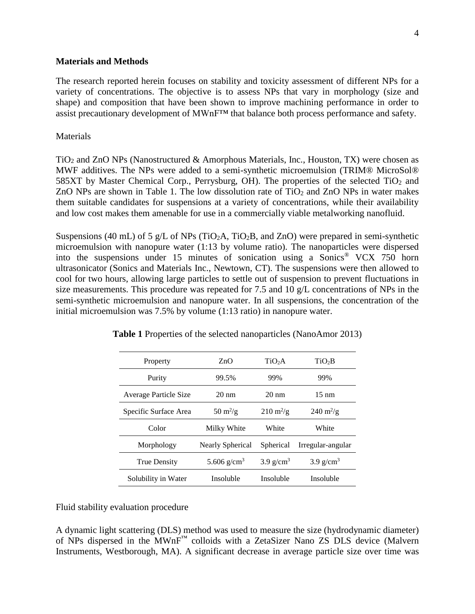### **Materials and Methods**

The research reported herein focuses on stability and toxicity assessment of different NPs for a variety of concentrations. The objective is to assess NPs that vary in morphology (size and shape) and composition that have been shown to improve machining performance in order to assist precautionary development of MWnF™ that balance both process performance and safety.

## Materials

 $TiO<sub>2</sub>$  and ZnO NPs (Nanostructured & Amorphous Materials, Inc., Houston, TX) were chosen as MWF additives. The NPs were added to a semi-synthetic microemulsion (TRIM® MicroSol® 585XT by Master Chemical Corp., Perrysburg, OH). The properties of the selected TiO<sub>2</sub> and ZnO NPs are shown in Table 1. The low dissolution rate of  $TiO<sub>2</sub>$  and ZnO NPs in water makes them suitable candidates for suspensions at a variety of concentrations, while their availability and low cost makes them amenable for use in a commercially viable metalworking nanofluid.

Suspensions (40 mL) of 5 g/L of NPs (TiO<sub>2</sub>A, TiO<sub>2</sub>B, and ZnO) were prepared in semi-synthetic microemulsion with nanopure water (1:13 by volume ratio). The nanoparticles were dispersed into the suspensions under 15 minutes of sonication using a Sonics® VCX 750 horn ultrasonicator (Sonics and Materials Inc., Newtown, CT). The suspensions were then allowed to cool for two hours, allowing large particles to settle out of suspension to prevent fluctuations in size measurements. This procedure was repeated for 7.5 and 10 g/L concentrations of NPs in the semi-synthetic microemulsion and nanopure water. In all suspensions, the concentration of the initial microemulsion was 7.5% by volume (1:13 ratio) in nanopure water.

| Property              | ZnO                              | TiO <sub>2</sub> A                | TiO <sub>2</sub> B                |
|-----------------------|----------------------------------|-----------------------------------|-----------------------------------|
| Purity                | 99.5%                            | 99%                               | 99%                               |
| Average Particle Size | $20 \text{ nm}$                  | $20 \text{ nm}$                   | $15 \text{ nm}$                   |
| Specific Surface Area | $50 \frac{\text{m}^2}{\text{g}}$ | $210 \frac{\text{m}^2}{\text{g}}$ | $240 \frac{\text{m}^2}{\text{g}}$ |
| Color                 | Milky White                      | White                             | White                             |
| Morphology            | Nearly Spherical                 | Spherical                         | Irregular-angular                 |
| <b>True Density</b>   | 5.606 g/cm <sup>3</sup>          | $3.9$ g/cm <sup>3</sup>           | $3.9$ g/cm <sup>3</sup>           |
| Solubility in Water   | Insoluble                        | Insoluble                         | Insoluble                         |

**Table 1** Properties of the selected nanoparticles (NanoAmor 2013)

Fluid stability evaluation procedure

A dynamic light scattering (DLS) method was used to measure the size (hydrodynamic diameter) of NPs dispersed in the MWnF™ colloids with a ZetaSizer Nano ZS DLS device (Malvern Instruments, Westborough, MA). A significant decrease in average particle size over time was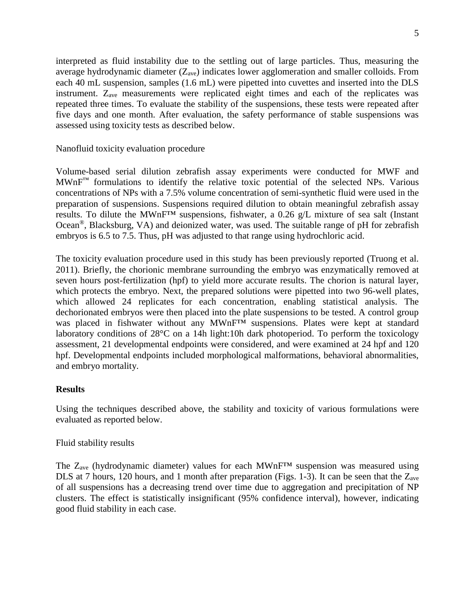interpreted as fluid instability due to the settling out of large particles. Thus, measuring the average hydrodynamic diameter  $(Z_{ave})$  indicates lower agglomeration and smaller colloids. From each 40 mL suspension, samples (1.6 mL) were pipetted into cuvettes and inserted into the DLS instrument. Zave measurements were replicated eight times and each of the replicates was repeated three times. To evaluate the stability of the suspensions, these tests were repeated after five days and one month. After evaluation, the safety performance of stable suspensions was assessed using toxicity tests as described below.

## Nanofluid toxicity evaluation procedure

Volume-based serial dilution zebrafish assay experiments were conducted for MWF and MWnF™ formulations to identify the relative toxic potential of the selected NPs. Various concentrations of NPs with a 7.5% volume concentration of semi-synthetic fluid were used in the preparation of suspensions. Suspensions required dilution to obtain meaningful zebrafish assay results. To dilute the MWnF™ suspensions, fishwater, a 0.26 g/L mixture of sea salt (Instant Ocean®, Blacksburg, VA) and deionized water, was used. The suitable range of pH for zebrafish embryos is 6.5 to 7.5. Thus, pH was adjusted to that range using hydrochloric acid.

The toxicity evaluation procedure used in this study has been previously reported (Truong et al. 2011). Briefly, the chorionic membrane surrounding the embryo was enzymatically removed at seven hours post-fertilization (hpf) to yield more accurate results. The chorion is natural layer, which protects the embryo. Next, the prepared solutions were pipetted into two 96-well plates, which allowed 24 replicates for each concentration, enabling statistical analysis. The dechorionated embryos were then placed into the plate suspensions to be tested. A control group was placed in fishwater without any MWnF<sup>TM</sup> suspensions. Plates were kept at standard laboratory conditions of 28°C on a 14h light:10h dark photoperiod. To perform the toxicology assessment, 21 developmental endpoints were considered, and were examined at 24 hpf and 120 hpf. Developmental endpoints included morphological malformations, behavioral abnormalities, and embryo mortality.

## **Results**

Using the techniques described above, the stability and toxicity of various formulations were evaluated as reported below.

### Fluid stability results

The  $Z_{ave}$  (hydrodynamic diameter) values for each MWnF<sup>TM</sup> suspension was measured using DLS at 7 hours, 120 hours, and 1 month after preparation (Figs. 1-3). It can be seen that the  $Z_{ave}$ of all suspensions has a decreasing trend over time due to aggregation and precipitation of NP clusters. The effect is statistically insignificant (95% confidence interval), however, indicating good fluid stability in each case.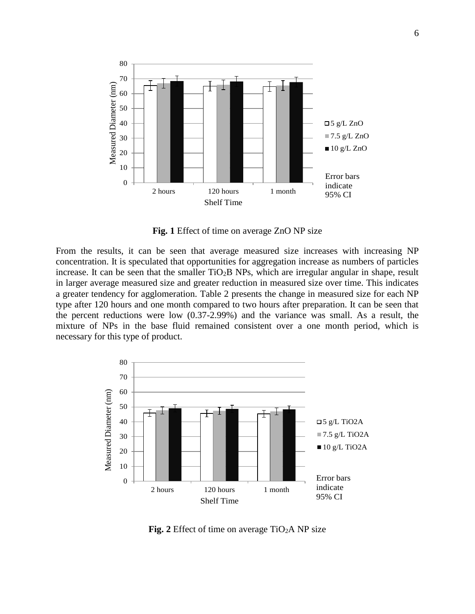

**Fig. 1** Effect of time on average ZnO NP size

From the results, it can be seen that average measured size increases with increasing NP concentration. It is speculated that opportunities for aggregation increase as numbers of particles increase. It can be seen that the smaller TiO<sub>2</sub>B NPs, which are irregular angular in shape, result in larger average measured size and greater reduction in measured size over time. This indicates a greater tendency for agglomeration. Table 2 presents the change in measured size for each NP type after 120 hours and one month compared to two hours after preparation. It can be seen that the percent reductions were low (0.37-2.99%) and the variance was small. As a result, the mixture of NPs in the base fluid remained consistent over a one month period, which is necessary for this type of product.



**Fig.** 2 Effect of time on average  $TiO<sub>2</sub>A NP size$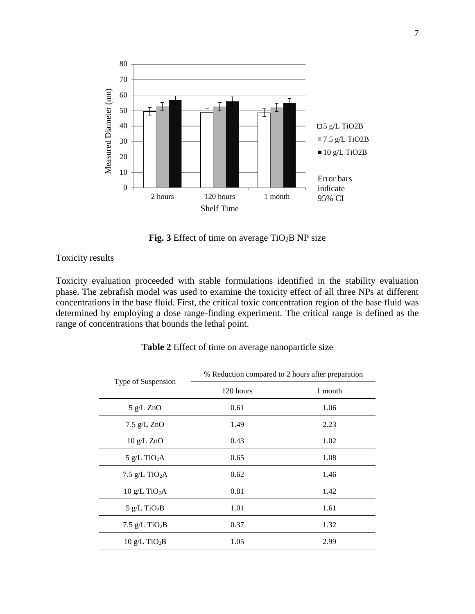

**Fig. 3** Effect of time on average TiO2B NP size

Toxicity results

Toxicity evaluation proceeded with stable formulations identified in the stability evaluation phase. The zebrafish model was used to examine the toxicity effect of all three NPs at different concentrations in the base fluid. First, the critical toxic concentration region of the base fluid was determined by employing a dose range-finding experiment. The critical range is defined as the range of concentrations that bounds the lethal point.

| Type of Suspension           | % Reduction compared to 2 hours after preparation |         |  |
|------------------------------|---------------------------------------------------|---------|--|
|                              | 120 hours                                         | 1 month |  |
| $5$ g/L ZnO                  | 0.61                                              | 1.06    |  |
| $7.5$ g/L ZnO                | 1.49                                              | 2.23    |  |
| 10 g/L ZnO                   | 0.43                                              | 1.02    |  |
| 5 g/L TiO <sub>2</sub> A     | 0.65                                              | 1.08    |  |
| 7.5 $g/L$ TiO <sub>2</sub> A | 0.62                                              | 1.46    |  |
| $10 g/L$ TiO <sub>2</sub> A  | 0.81                                              | 1.42    |  |
| $5$ g/L TiO <sub>2</sub> B   | 1.01                                              | 1.61    |  |
| 7.5 $g/L$ TiO <sub>2</sub> B | 0.37                                              | 1.32    |  |
| $10 g/L$ TiO <sub>2</sub> B  | 1.05                                              | 2.99    |  |

**Table 2** Effect of time on average nanoparticle size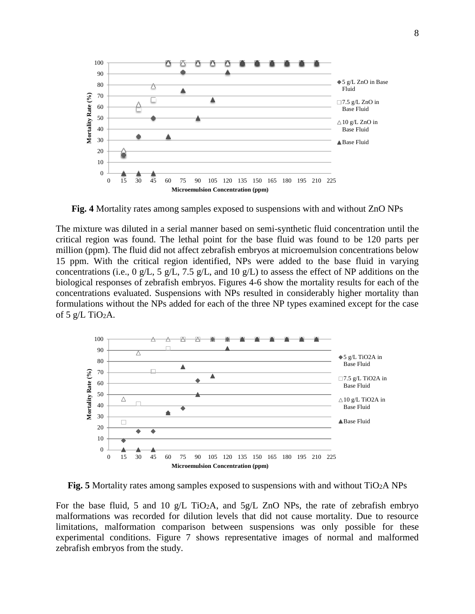

**Fig. 4** Mortality rates among samples exposed to suspensions with and without ZnO NPs

The mixture was diluted in a serial manner based on semi-synthetic fluid concentration until the critical region was found. The lethal point for the base fluid was found to be 120 parts per million (ppm). The fluid did not affect zebrafish embryos at microemulsion concentrations below 15 ppm. With the critical region identified, NPs were added to the base fluid in varying concentrations (i.e., 0 g/L, 5 g/L, 7.5 g/L, and 10 g/L) to assess the effect of NP additions on the biological responses of zebrafish embryos. Figures 4-6 show the mortality results for each of the concentrations evaluated. Suspensions with NPs resulted in considerably higher mortality than formulations without the NPs added for each of the three NP types examined except for the case of 5  $g/L$  TiO<sub>2</sub>A.



**Fig. 5** Mortality rates among samples exposed to suspensions with and without TiO2A NPs

For the base fluid, 5 and 10 g/L TiO<sub>2</sub>A, and  $5g/L$  ZnO NPs, the rate of zebrafish embryo malformations was recorded for dilution levels that did not cause mortality. Due to resource limitations, malformation comparison between suspensions was only possible for these experimental conditions. Figure 7 shows representative images of normal and malformed zebrafish embryos from the study.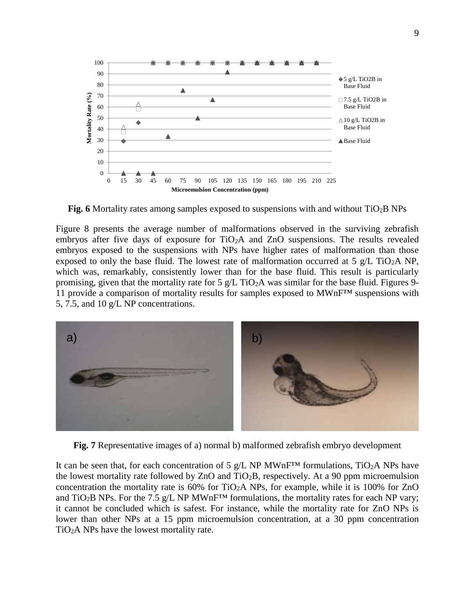

**Fig. 6** Mortality rates among samples exposed to suspensions with and without TiO2B NPs

Figure 8 presents the average number of malformations observed in the surviving zebrafish embryos after five days of exposure for TiO2A and ZnO suspensions. The results revealed embryos exposed to the suspensions with NPs have higher rates of malformation than those exposed to only the base fluid. The lowest rate of malformation occurred at 5  $g/L$  TiO<sub>2</sub>A NP, which was, remarkably, consistently lower than for the base fluid. This result is particularly promising, given that the mortality rate for 5  $g/L$  TiO<sub>2</sub>A was similar for the base fluid. Figures 9-11 provide a comparison of mortality results for samples exposed to MWnF™ suspensions with 5, 7.5, and 10 g/L NP concentrations.



**Fig. 7** Representative images of a) normal b) malformed zebrafish embryo development

It can be seen that, for each concentration of 5 g/L NP MWnF<sup>TM</sup> formulations, TiO<sub>2</sub>A NPs have the lowest mortality rate followed by  $ZnO$  and  $TiO<sub>2</sub>B$ , respectively. At a 90 ppm microemulsion concentration the mortality rate is  $60\%$  for TiO<sub>2</sub>A NPs, for example, while it is 100% for ZnO and TiO<sub>2</sub>B NPs. For the 7.5 g/L NP MWnF<sup>TM</sup> formulations, the mortality rates for each NP vary; it cannot be concluded which is safest. For instance, while the mortality rate for ZnO NPs is lower than other NPs at a 15 ppm microemulsion concentration, at a 30 ppm concentration TiO2A NPs have the lowest mortality rate.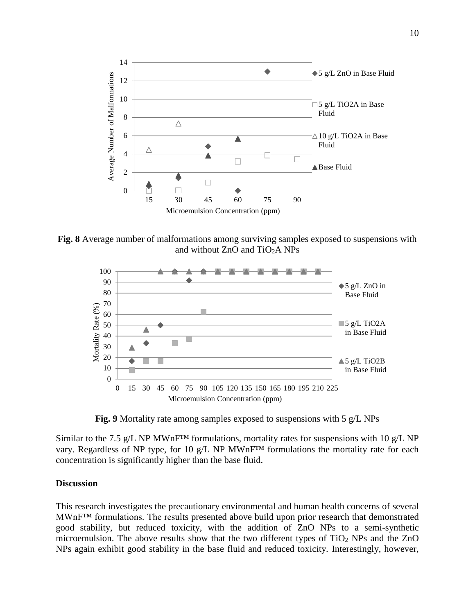

**Fig. 8** Average number of malformations among surviving samples exposed to suspensions with and without ZnO and TiO2A NPs



**Fig. 9** Mortality rate among samples exposed to suspensions with 5 g/L NPs

Similar to the 7.5 g/L NP MWnF<sup>TM</sup> formulations, mortality rates for suspensions with 10 g/L NP vary. Regardless of NP type, for 10 g/L NP MWnF™ formulations the mortality rate for each concentration is significantly higher than the base fluid.

## **Discussion**

This research investigates the precautionary environmental and human health concerns of several MWnF™ formulations. The results presented above build upon prior research that demonstrated good stability, but reduced toxicity, with the addition of ZnO NPs to a semi-synthetic microemulsion. The above results show that the two different types of  $TiO<sub>2</sub>$  NPs and the ZnO NPs again exhibit good stability in the base fluid and reduced toxicity. Interestingly, however,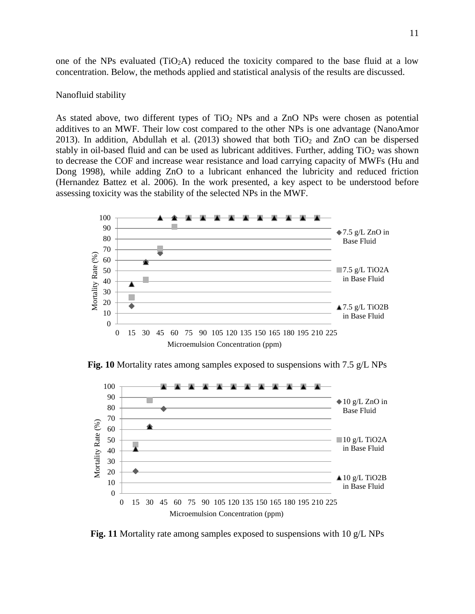one of the NPs evaluated  $(TIO<sub>2</sub>A)$  reduced the toxicity compared to the base fluid at a low concentration. Below, the methods applied and statistical analysis of the results are discussed.

#### Nanofluid stability

As stated above, two different types of  $TiO<sub>2</sub>$  NPs and a ZnO NPs were chosen as potential additives to an MWF. Their low cost compared to the other NPs is one advantage (NanoAmor 2013). In addition, Abdullah et al. (2013) showed that both  $TiO<sub>2</sub>$  and  $ZnO$  can be dispersed stably in oil-based fluid and can be used as lubricant additives. Further, adding  $TiO<sub>2</sub>$  was shown to decrease the COF and increase wear resistance and load carrying capacity of MWFs (Hu and Dong 1998), while adding ZnO to a lubricant enhanced the lubricity and reduced friction (Hernandez Battez et al. 2006). In the work presented, a key aspect to be understood before assessing toxicity was the stability of the selected NPs in the MWF.



**Fig. 10** Mortality rates among samples exposed to suspensions with 7.5 g/L NPs



**Fig. 11** Mortality rate among samples exposed to suspensions with 10 g/L NPs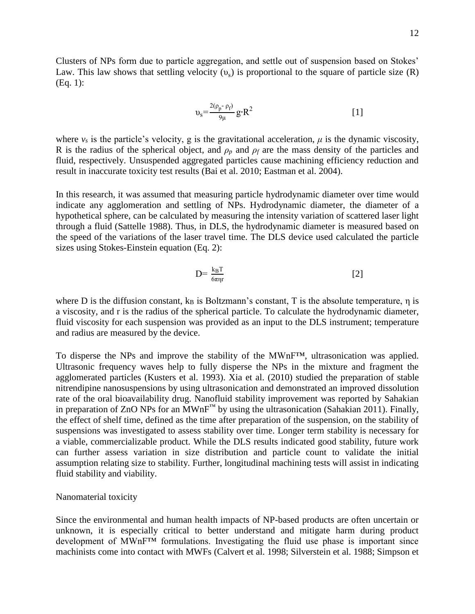Clusters of NPs form due to particle aggregation, and settle out of suspension based on Stokes' Law. This law shows that settling velocity  $(v_s)$  is proportional to the square of particle size (R) (Eq. 1):

$$
\upsilon_s = \frac{2(\rho_p - \rho_f)}{9\mu} g \cdot R^2
$$
 [1]

where  $v_s$  is the particle's velocity, g is the gravitational acceleration,  $\mu$  is the [dynamic viscosity,](http://en.wikipedia.org/wiki/Dynamic_viscosity) R is the radius of the spherical object, and  $\rho_p$  and  $\rho_f$  are the [mass density](http://en.wikipedia.org/wiki/Mass_density) of the particles and fluid, respectively. Unsuspended aggregated particles cause machining efficiency reduction and result in inaccurate toxicity test results (Bai et al. 2010; Eastman et al. 2004).

In this research, it was assumed that measuring particle hydrodynamic diameter over time would indicate any agglomeration and settling of NPs. Hydrodynamic diameter, the diameter of a hypothetical sphere, can be calculated by measuring the intensity variation of scattered laser light through a fluid (Sattelle 1988). Thus, in DLS, the hydrodynamic diameter is measured based on the speed of the variations of the laser travel time. The DLS device used calculated the particle sizes using Stokes-Einstein equation (Eq. 2):

$$
D = \frac{k_B T}{6\pi \eta r} \tag{2}
$$

where D is the diffusion constant,  $k_B$  is Boltzmann's constant, T is the absolute temperature,  $\eta$  is a viscosity, and r is the radius of the spherical particle. To calculate the hydrodynamic diameter, fluid viscosity for each suspension was provided as an input to the DLS instrument; temperature and radius are measured by the device.

To disperse the NPs and improve the stability of the MWnF™, ultrasonication was applied. Ultrasonic frequency waves help to fully disperse the NPs in the mixture and fragment the agglomerated particles (Kusters et al. 1993). Xia et al. (2010) studied the preparation of stable nitrendipine nanosuspensions by using ultrasonication and demonstrated an improved dissolution rate of the oral bioavailability drug. Nanofluid stability improvement was reported by Sahakian in preparation of ZnO NPs for an  $\text{MWhF}^{\text{TM}}$  by using the ultrasonication (Sahakian 2011). Finally, the effect of shelf time, defined as the time after preparation of the suspension, on the stability of suspensions was investigated to assess stability over time. Longer term stability is necessary for a viable, commercializable product. While the DLS results indicated good stability, future work can further assess variation in size distribution and particle count to validate the initial assumption relating size to stability. Further, longitudinal machining tests will assist in indicating fluid stability and viability.

#### Nanomaterial toxicity

Since the environmental and human health impacts of NP-based products are often uncertain or unknown, it is especially critical to better understand and mitigate harm during product development of MWnF™ formulations. Investigating the fluid use phase is important since machinists come into contact with MWFs (Calvert et al. 1998; Silverstein et al. 1988; Simpson et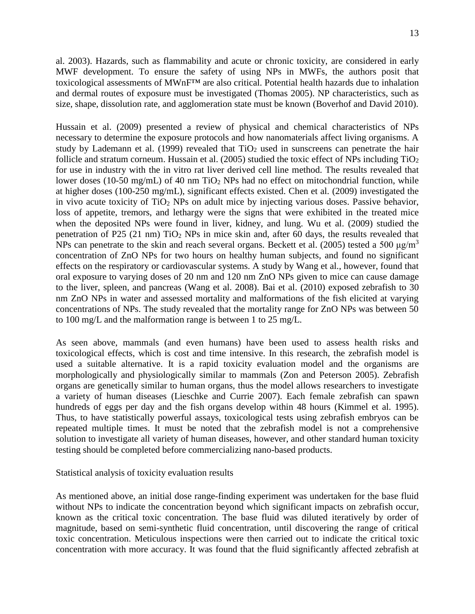13

al. 2003). Hazards, such as flammability and acute or chronic toxicity, are considered in early MWF development. To ensure the safety of using NPs in MWFs, the authors posit that toxicological assessments of MWnF™ are also critical. Potential health hazards due to inhalation and dermal routes of exposure must be investigated (Thomas 2005). NP characteristics, such as size, shape, dissolution rate, and agglomeration state must be known (Boverhof and David 2010).

Hussain et al. (2009) presented a review of physical and chemical characteristics of NPs necessary to determine the exposure protocols and how nanomaterials affect living organisms. A study by Lademann et al. (1999) revealed that  $TiO<sub>2</sub>$  used in sunscreens can penetrate the hair follicle and stratum corneum. Hussain et al. (2005) studied the toxic effect of NPs including  $TiO<sub>2</sub>$ for use in industry with the in vitro rat liver derived cell line method. The results revealed that lower doses (10-50 mg/mL) of 40 nm  $TiO<sub>2</sub>$  NPs had no effect on mitochondrial function, while at higher doses (100-250 mg/mL), significant effects existed. Chen et al. (2009) investigated the in vivo acute toxicity of  $TiO<sub>2</sub>$  NPs on adult mice by injecting various doses. Passive behavior, loss of appetite, tremors, and lethargy were the signs that were exhibited in the treated mice when the deposited NPs were found in liver, kidney, and lung. Wu et al. (2009) studied the penetration of P25 (21 nm) TiO<sup>2</sup> NPs in mice skin and, after 60 days, the results revealed that NPs can penetrate to the skin and reach several organs. Beckett et al. (2005) tested a 500  $\mu$ g/m<sup>3</sup> concentration of ZnO NPs for two hours on healthy human subjects, and found no significant effects on the respiratory or cardiovascular systems. A study by Wang et al., however, found that oral exposure to varying doses of 20 nm and 120 nm ZnO NPs given to mice can cause damage to the liver, spleen, and pancreas (Wang et al. 2008). Bai et al. (2010) exposed zebrafish to 30 nm ZnO NPs in water and assessed mortality and malformations of the fish elicited at varying concentrations of NPs. The study revealed that the mortality range for ZnO NPs was between 50 to 100 mg/L and the malformation range is between 1 to 25 mg/L.

As seen above, mammals (and even humans) have been used to assess health risks and toxicological effects, which is cost and time intensive. In this research, the zebrafish model is used a suitable alternative. It is a rapid toxicity evaluation model and the organisms are morphologically and physiologically similar to mammals (Zon and Peterson 2005). Zebrafish organs are genetically similar to human organs, thus the model allows researchers to investigate a variety of human diseases (Lieschke and Currie 2007). Each female zebrafish can spawn hundreds of eggs per day and the fish organs develop within 48 hours (Kimmel et al. 1995). Thus, to have statistically powerful assays, toxicological tests using zebrafish embryos can be repeated multiple times. It must be noted that the zebrafish model is not a comprehensive solution to investigate all variety of human diseases, however, and other standard human toxicity testing should be completed before commercializing nano-based products.

Statistical analysis of toxicity evaluation results

As mentioned above, an initial dose range-finding experiment was undertaken for the base fluid without NPs to indicate the concentration beyond which significant impacts on zebrafish occur, known as the critical toxic concentration. The base fluid was diluted iteratively by order of magnitude, based on semi-synthetic fluid concentration, until discovering the range of critical toxic concentration. Meticulous inspections were then carried out to indicate the critical toxic concentration with more accuracy. It was found that the fluid significantly affected zebrafish at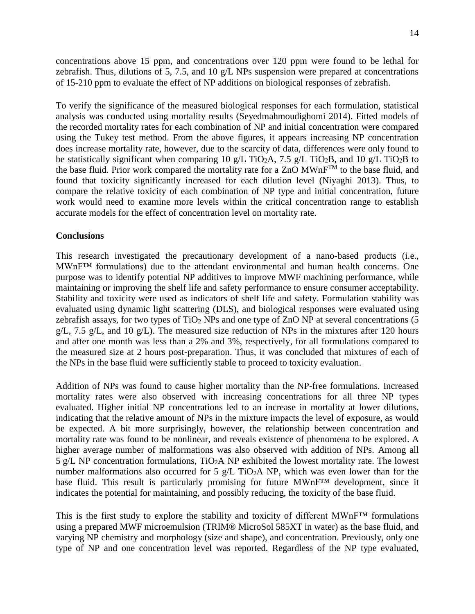concentrations above 15 ppm, and concentrations over 120 ppm were found to be lethal for zebrafish. Thus, dilutions of 5, 7.5, and 10  $g/L$  NPs suspension were prepared at concentrations of 15-210 ppm to evaluate the effect of NP additions on biological responses of zebrafish.

To verify the significance of the measured biological responses for each formulation, statistical analysis was conducted using mortality results (Seyedmahmoudighomi 2014). Fitted models of the recorded mortality rates for each combination of NP and initial concentration were compared using the Tukey test method. From the above figures, it appears increasing NP concentration does increase mortality rate, however, due to the scarcity of data, differences were only found to be statistically significant when comparing 10 g/L TiO<sub>2</sub>A, 7.5 g/L TiO<sub>2</sub>B, and 10 g/L TiO<sub>2</sub>B to the base fluid. Prior work compared the mortality rate for a ZnO  $MWhF^{TM}$  to the base fluid, and found that toxicity significantly increased for each dilution level (Niyaghi 2013). Thus, to compare the relative toxicity of each combination of NP type and initial concentration, future work would need to examine more levels within the critical concentration range to establish accurate models for the effect of concentration level on mortality rate.

## **Conclusions**

This research investigated the precautionary development of a nano-based products (i.e., MWnF™ formulations) due to the attendant environmental and human health concerns. One purpose was to identify potential NP additives to improve MWF machining performance, while maintaining or improving the shelf life and safety performance to ensure consumer acceptability. Stability and toxicity were used as indicators of shelf life and safety. Formulation stability was evaluated using dynamic light scattering (DLS), and biological responses were evaluated using zebrafish assays, for two types of  $TiO<sub>2</sub>$  NPs and one type of ZnO NP at several concentrations (5  $g/L$ , 7.5 g/L, and 10 g/L). The measured size reduction of NPs in the mixtures after 120 hours and after one month was less than a 2% and 3%, respectively, for all formulations compared to the measured size at 2 hours post-preparation. Thus, it was concluded that mixtures of each of the NPs in the base fluid were sufficiently stable to proceed to toxicity evaluation.

Addition of NPs was found to cause higher mortality than the NP-free formulations. Increased mortality rates were also observed with increasing concentrations for all three NP types evaluated. Higher initial NP concentrations led to an increase in mortality at lower dilutions, indicating that the relative amount of NPs in the mixture impacts the level of exposure, as would be expected. A bit more surprisingly, however, the relationship between concentration and mortality rate was found to be nonlinear, and reveals existence of phenomena to be explored. A higher average number of malformations was also observed with addition of NPs. Among all 5 g/L NP concentration formulations,  $TiO<sub>2</sub>A$  NP exhibited the lowest mortality rate. The lowest number malformations also occurred for 5  $g/L$  TiO<sub>2</sub>A NP, which was even lower than for the base fluid. This result is particularly promising for future MWnF™ development, since it indicates the potential for maintaining, and possibly reducing, the toxicity of the base fluid.

This is the first study to explore the stability and toxicity of different MWnF™ formulations using a prepared MWF microemulsion (TRIM® MicroSol 585XT in water) as the base fluid, and varying NP chemistry and morphology (size and shape), and concentration. Previously, only one type of NP and one concentration level was reported. Regardless of the NP type evaluated,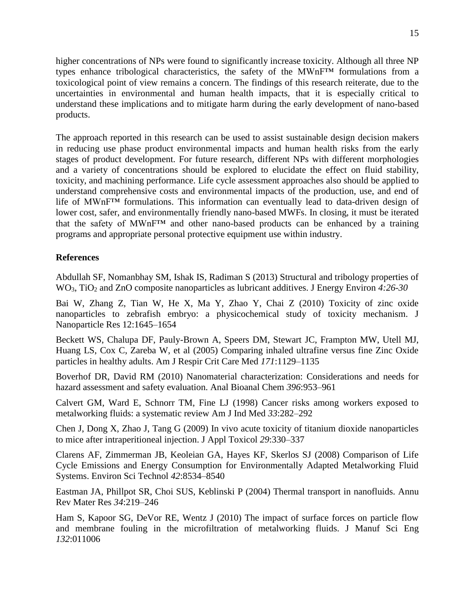higher concentrations of NPs were found to significantly increase toxicity. Although all three NP types enhance tribological characteristics, the safety of the MWnF™ formulations from a toxicological point of view remains a concern. The findings of this research reiterate, due to the uncertainties in environmental and human health impacts, that it is especially critical to understand these implications and to mitigate harm during the early development of nano-based products.

The approach reported in this research can be used to assist sustainable design decision makers in reducing use phase product environmental impacts and human health risks from the early stages of product development. For future research, different NPs with different morphologies and a variety of concentrations should be explored to elucidate the effect on fluid stability, toxicity, and machining performance. Life cycle assessment approaches also should be applied to understand comprehensive costs and environmental impacts of the production, use, and end of life of MWnF™ formulations. This information can eventually lead to data-driven design of lower cost, safer, and environmentally friendly nano-based MWFs. In closing, it must be iterated that the safety of MWnF™ and other nano-based products can be enhanced by a training programs and appropriate personal protective equipment use within industry.

## **References**

Abdullah SF, Nomanbhay SM, Ishak IS, Radiman S (2013) Structural and tribology properties of WO3, TiO<sup>2</sup> and ZnO composite nanoparticles as lubricant additives. J Energy Environ *4:26-30*

Bai W, Zhang Z, Tian W, He X, Ma Y, Zhao Y, Chai Z (2010) Toxicity of zinc oxide nanoparticles to zebrafish embryo: a physicochemical study of toxicity mechanism. J Nanoparticle Res 12:1645–1654

Beckett WS, Chalupa DF, Pauly-Brown A, Speers DM, Stewart JC, Frampton MW, Utell MJ, Huang LS, Cox C, Zareba W, et al (2005) Comparing inhaled ultrafine versus fine Zinc Oxide particles in healthy adults. Am J Respir Crit Care Med *171*:1129–1135

Boverhof DR, David RM (2010) Nanomaterial characterization: Considerations and needs for hazard assessment and safety evaluation. Anal Bioanal Chem *396*:953–961

Calvert GM, Ward E, Schnorr TM, Fine LJ (1998) Cancer risks among workers exposed to metalworking fluids: a systematic review Am J Ind Med *33*:282–292

Chen J, Dong X, Zhao J, Tang G (2009) In vivo acute toxicity of titanium dioxide nanoparticles to mice after intraperitioneal injection. J Appl Toxicol *29*:330–337

Clarens AF, Zimmerman JB, Keoleian GA, Hayes KF, Skerlos SJ (2008) Comparison of Life Cycle Emissions and Energy Consumption for Environmentally Adapted Metalworking Fluid Systems. Environ Sci Technol *42*:8534–8540

Eastman JA, Phillpot SR, Choi SUS, Keblinski P (2004) Thermal transport in nanofluids. Annu Rev Mater Res *34*:219–246

Ham S, Kapoor SG, DeVor RE, Wentz J (2010) The impact of surface forces on particle flow and membrane fouling in the microfiltration of metalworking fluids. J Manuf Sci Eng *132*:011006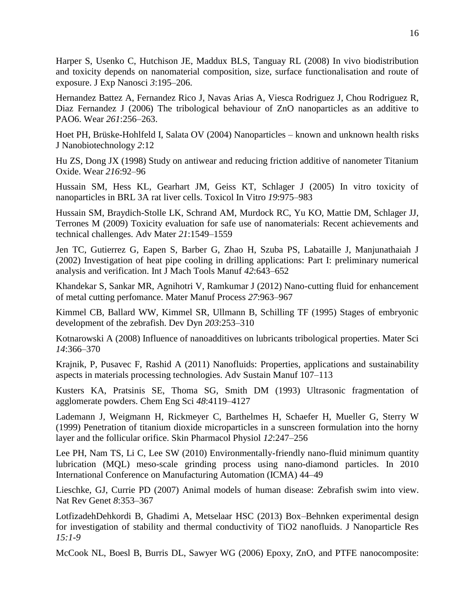Harper S, Usenko C, Hutchison JE, Maddux BLS, Tanguay RL (2008) In vivo biodistribution and toxicity depends on nanomaterial composition, size, surface functionalisation and route of exposure. J Exp Nanosci *3*:195–206.

Hernandez Battez A, Fernandez Rico J, Navas Arias A, Viesca Rodriguez J, Chou Rodriguez R, Diaz Fernandez J (2006) The tribological behaviour of ZnO nanoparticles as an additive to PAO6. Wear *261*:256–263.

Hoet PH, Brüske-Hohlfeld I, Salata OV (2004) Nanoparticles – known and unknown health risks J Nanobiotechnology *2*:12

Hu ZS, Dong JX (1998) Study on antiwear and reducing friction additive of nanometer Titanium Oxide. Wear *216*:92–96

Hussain SM, Hess KL, Gearhart JM, Geiss KT, Schlager J (2005) In vitro toxicity of nanoparticles in BRL 3A rat liver cells. Toxicol In Vitro *19*:975–983

Hussain SM, Braydich-Stolle LK, Schrand AM, Murdock RC, Yu KO, Mattie DM, Schlager JJ, Terrones M (2009) Toxicity evaluation for safe use of nanomaterials: Recent achievements and technical challenges. Adv Mater *21*:1549–1559

Jen TC, Gutierrez G, Eapen S, Barber G, Zhao H, Szuba PS, Labataille J, Manjunathaiah J (2002) Investigation of heat pipe cooling in drilling applications: Part I: preliminary numerical analysis and verification. Int J Mach Tools Manuf *42*:643–652

Khandekar S, Sankar MR, Agnihotri V, Ramkumar J (2012) Nano-cutting fluid for enhancement of metal cutting perfomance. Mater Manuf Process *27*:963–967

Kimmel CB, Ballard WW, Kimmel SR, Ullmann B, Schilling TF (1995) Stages of embryonic development of the zebrafish. Dev Dyn *203*:253–310

Kotnarowski A (2008) Influence of nanoadditives on lubricants tribological properties. Mater Sci *14*:366–370

Krajnik, P, Pusavec F, Rashid A (2011) Nanofluids: Properties, applications and sustainability aspects in materials processing technologies. Adv Sustain Manuf 107–113

Kusters KA, Pratsinis SE, Thoma SG, Smith DM (1993) Ultrasonic fragmentation of agglomerate powders. Chem Eng Sci *48*:4119–4127

Lademann J, Weigmann H, Rickmeyer C, Barthelmes H, Schaefer H, Mueller G, Sterry W (1999) Penetration of titanium dioxide microparticles in a sunscreen formulation into the horny layer and the follicular orifice. Skin Pharmacol Physiol *12*:247–256

Lee PH, Nam TS, Li C, Lee SW (2010) Environmentally-friendly nano-fluid minimum quantity lubrication (MQL) meso-scale grinding process using nano-diamond particles. In 2010 International Conference on Manufacturing Automation (ICMA) 44–49

Lieschke, GJ, Currie PD (2007) Animal models of human disease: Zebrafish swim into view. Nat Rev Genet *8*:353–367

LotfizadehDehkordi B, Ghadimi A, Metselaar HSC (2013) Box–Behnken experimental design for investigation of stability and thermal conductivity of TiO2 nanofluids. J Nanoparticle Res *15:1-9*

McCook NL, Boesl B, Burris DL, Sawyer WG (2006) Epoxy, ZnO, and PTFE nanocomposite: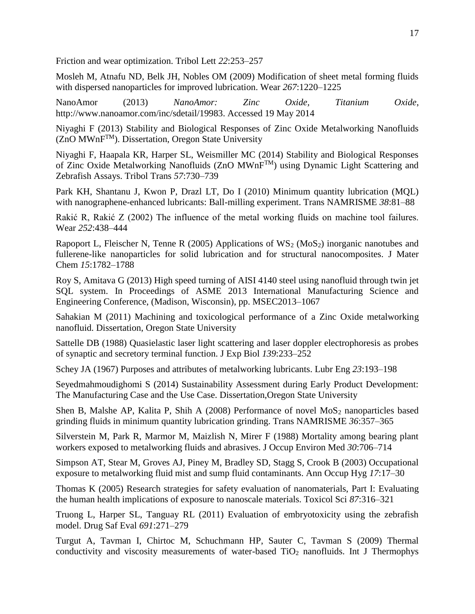Friction and wear optimization. Tribol Lett *22*:253–257

Mosleh M, Atnafu ND, Belk JH, Nobles OM (2009) Modification of sheet metal forming fluids with dispersed nanoparticles for improved lubrication. Wear *267*:1220–1225

NanoAmor (2013) *NanoAmor: Zinc Oxide, Titanium Oxide*, http://www.nanoamor.com/inc/sdetail/19983. Accessed 19 May 2014

Niyaghi F (2013) Stability and Biological Responses of Zinc Oxide Metalworking Nanofluids  $(ZnO MWnF<sup>TM</sup>)$ . Dissertation, Oregon State University

Niyaghi F, Haapala KR, Harper SL, Weismiller MC (2014) Stability and Biological Responses of Zinc Oxide Metalworking Nanofluids (ZnO MWnFTM) using Dynamic Light Scattering and Zebrafish Assays. Tribol Trans *57*:730–739

Park KH, Shantanu J, Kwon P, Drazl LT, Do I (2010) Minimum quantity lubrication (MQL) with nanographene-enhanced lubricants: Ball-milling experiment. Trans NAMRISME *38*:81–88

Rakić R, Rakić Z (2002) The influence of the metal working fluids on machine tool failures. Wear *252*:438–444

Rapoport L, Fleischer N, Tenne R (2005) Applications of  $WS_2$  (MoS<sub>2</sub>) inorganic nanotubes and fullerene-like nanoparticles for solid lubrication and for structural nanocomposites. J Mater Chem *15*:1782–1788

Roy S, Amitava G (2013) High speed turning of AISI 4140 steel using nanofluid through twin jet SQL system. In Proceedings of ASME 2013 International Manufacturing Science and Engineering Conference, (Madison, Wisconsin), pp. MSEC2013–1067

Sahakian M (2011) Machining and toxicological performance of a Zinc Oxide metalworking nanofluid. Dissertation, Oregon State University

Sattelle DB (1988) Quasielastic laser light scattering and laser doppler electrophoresis as probes of synaptic and secretory terminal function. J Exp Biol *139*:233–252

Schey JA (1967) Purposes and attributes of metalworking lubricants. Lubr Eng *23*:193–198

Seyedmahmoudighomi S (2014) Sustainability Assessment during Early Product Development: The Manufacturing Case and the Use Case. Dissertation,Oregon State University

Shen B, Malshe AP, Kalita P, Shih A (2008) Performance of novel  $MoS<sub>2</sub>$  nanoparticles based grinding fluids in minimum quantity lubrication grinding. Trans NAMRISME *36*:357–365

Silverstein M, Park R, Marmor M, Maizlish N, Mirer F (1988) Mortality among bearing plant workers exposed to metalworking fluids and abrasives. J Occup Environ Med *30*:706–714

Simpson AT, Stear M, Groves AJ, Piney M, Bradley SD, Stagg S, Crook B (2003) Occupational exposure to metalworking fluid mist and sump fluid contaminants. Ann Occup Hyg *17*:17–30

Thomas K (2005) Research strategies for safety evaluation of nanomaterials, Part I: Evaluating the human health implications of exposure to nanoscale materials. Toxicol Sci *87*:316–321

Truong L, Harper SL, Tanguay RL (2011) Evaluation of embryotoxicity using the zebrafish model. Drug Saf Eval *691*:271–279

Turgut A, Tavman I, Chirtoc M, Schuchmann HP, Sauter C, Tavman S (2009) Thermal conductivity and viscosity measurements of water-based  $TiO<sub>2</sub>$  nanofluids. Int J Thermophys